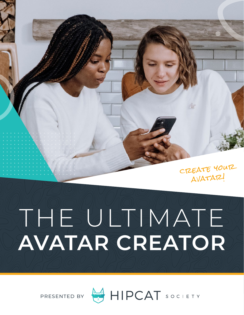create your avatar!

# THATE **AVATAR CREATOR**

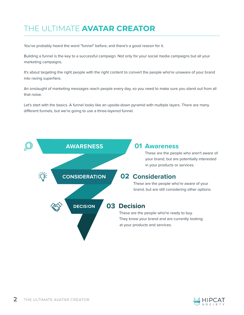# THE ULTIMATE **AVATAR CREATOR**

You've probably heard the word "funnel" before, and there's a good reason for it.

Building a funnel is the key to a successful campaign. Not only for your social media campaigns but all your marketing campaigns.

It's about targeting the right people with the right content to convert the people who're unaware of your brand into raving superfans.

An onslaught of marketing messages reach people every day, so you need to make sure you stand out from all that noise.

Let's start with the basics. A funnel looks like an upside-down pyramid with multiple layers. There are many different funnels, but we're going to use a three-layered funnel.



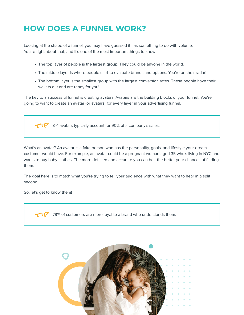# **HOW DOES A FUNNEL WORK?**

Looking at the shape of a funnel, you may have guessed it has something to do with volume. You're right about that, and it's one of the most important things to know:

- The top layer of people is the largest group. They could be anyone in the world.
- The middle layer is where people start to evaluate brands and options. You're on their radar!
- The bottom layer is the smallest group with the largest conversion rates. These people have their wallets out and are ready for you!

The key to a successful funnel is creating avatars. Avatars are the building blocks of your funnel. You're going to want to create an avatar (or avatars) for every layer in your advertising funnel.

 $\textbf{TP}$  3-4 avatars typically account for 90% of a company's sales.

What's an avatar? An avatar is a fake person who has the personality, goals, and lifestyle your dream customer would have. For example, an avatar could be a pregnant woman aged 35 who's living in NYC and wants to buy baby clothes. The more detailed and accurate you can be - the better your chances of finding them.

The goal here is to match what you're trying to tell your audience with what they want to hear in a split second.

So, let's get to know them!

79% of customers are more loyal to a brand who understands them. t ip

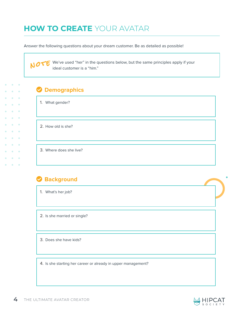## **HOW TO CREATE** YOUR AVATAR

Answer the following questions about your dream customer. Be as detailed as possible!

 $\mathcal{N}$   $\sigma$   $\mathcal{F}$  We've used "her" in the questions below, but the same principles apply if your ideal customer is a "him" ideal customer is a "him."

| <b>Demographics</b> |  |  |  |
|---------------------|--|--|--|
|                     |  |  |  |

1. What gender?

 $\bullet$ 

 $\ddot{\phantom{a}}$  $\bullet$ 

 $\bullet$  $\bullet$  $\bullet$  $\bullet$ 

2. How old is she?

3. Where does she live?

#### **Background**

1. What's her job?

2. Is she married or single?

3. Does she have kids?

4. Is she starting her career or already in upper management?

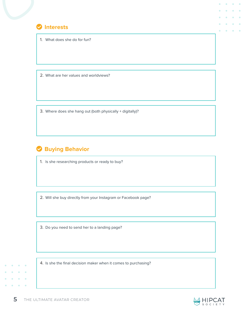

1. What does she do for fun?

2. What are her values and worldviews?

3. Where does she hang out (both physically + digitally)?

## **Buying Behavior**

1. Is she researching products or ready to buy?

2. Will she buy directly from your Instagram or Facebook page?

3. Do you need to send her to a landing page?

4. Is she the final decision maker when it comes to purchasing?



 $\bullet$ 

 $\blacksquare$  $\bullet$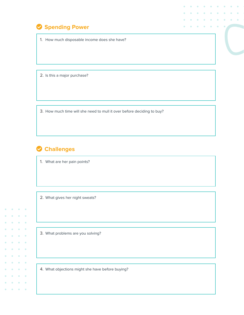#### **Spending Power**

1. How much disposable income does she have?

2. Is this a major purchase?

3. How much time will she need to mull it over before deciding to buy?

#### **Challenges**

 $\bullet$ 

 $\bullet$  $\sim$  $\bullet$  $\ddot{\phantom{a}}$ 

 $\bullet$  $\ddot{\phantom{a}}$  $\bullet$  $\bullet$ 

 $\blacksquare$  $\bullet$ 

 $\bullet$  $\bullet$ 

 $\mathbf{a} = \mathbf{a} + \mathbf{a}$  $\bullet \qquad \bullet \qquad \bullet$ 

> $\bullet$  $\bullet$

 $\bullet$ 

 $\bullet$  $\bullet$  $\bullet$  1. What are her pain points?

2. What gives her night sweats?

3. What problems are you solving?

4. What objections might she have before buying?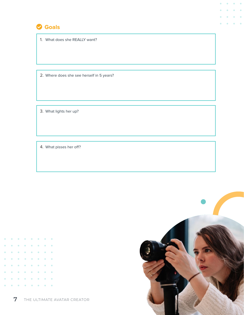

1. What does she REALLY want?

2. Where does she see herself in 5 years?

3. What lights her up?

4. What pisses her off?



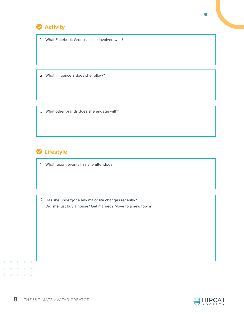

1. What Facebook Groups is she involved with?

2. What influencers does she follow?

3. What other brands does she engage with?

## **C** Lifestyle

- 1. What recent events has she attended?
- 2. Has she undergone any major life changes recently? Did she just buy a house? Get married? Move to a new town?

 $\blacksquare$  $\bullet$ 

 $\sim$  $\sim$  $\ddot{\phantom{a}}$